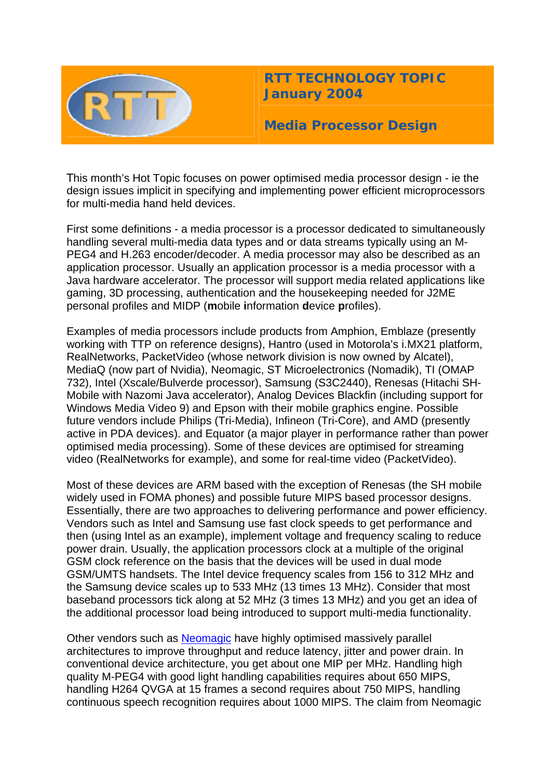

**RTT TECHNOLOGY TOPIC January 2004**

**Media Processor Design** 

This month's Hot Topic focuses on power optimised media processor design - ie the design issues implicit in specifying and implementing power efficient microprocessors for multi-media hand held devices.

First some definitions - a media processor is a processor dedicated to simultaneously handling several multi-media data types and or data streams typically using an M-PEG4 and H.263 encoder/decoder. A media processor may also be described as an application processor. Usually an application processor is a media processor with a Java hardware accelerator. The processor will support media related applications like gaming, 3D processing, authentication and the housekeeping needed for J2ME personal profiles and MIDP (**m**obile **i**nformation **d**evice **p**rofiles).

Examples of media processors include products from Amphion, Emblaze (presently working with TTP on reference designs), Hantro (used in Motorola's i.MX21 platform, RealNetworks, PacketVideo (whose network division is now owned by Alcatel), MediaQ (now part of Nvidia), Neomagic, ST Microelectronics (Nomadik), TI (OMAP 732), Intel (Xscale/Bulverde processor), Samsung (S3C2440), Renesas (Hitachi SH-Mobile with Nazomi Java accelerator), Analog Devices Blackfin (including support for Windows Media Video 9) and Epson with their mobile graphics engine. Possible future vendors include Philips (Tri-Media), Infineon (Tri-Core), and AMD (presently active in PDA devices). and Equator (a major player in performance rather than power optimised media processing). Some of these devices are optimised for streaming video (RealNetworks for example), and some for real-time video (PacketVideo).

Most of these devices are ARM based with the exception of Renesas (the SH mobile widely used in FOMA phones) and possible future MIPS based processor designs. Essentially, there are two approaches to delivering performance and power efficiency. Vendors such as Intel and Samsung use fast clock speeds to get performance and then (using Intel as an example), implement voltage and frequency scaling to reduce power drain. Usually, the application processors clock at a multiple of the original GSM clock reference on the basis that the devices will be used in dual mode GSM/UMTS handsets. The Intel device frequency scales from 156 to 312 MHz and the Samsung device scales up to 533 MHz (13 times 13 MHz). Consider that most baseband processors tick along at 52 MHz (3 times 13 MHz) and you get an idea of the additional processor load being introduced to support multi-media functionality.

Other vendors such as [Neomagic](http://www.neomagic.com/) have highly optimised massively parallel architectures to improve throughput and reduce latency, jitter and power drain. In conventional device architecture, you get about one MIP per MHz. Handling high quality M-PEG4 with good light handling capabilities requires about 650 MIPS, handling H264 QVGA at 15 frames a second requires about 750 MIPS, handling continuous speech recognition requires about 1000 MIPS. The claim from Neomagic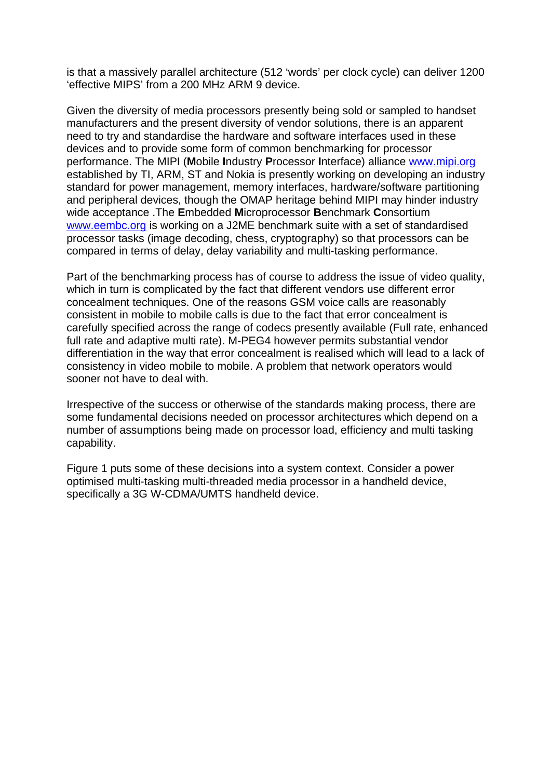is that a massively parallel architecture (512 'words' per clock cycle) can deliver 1200 'effective MIPS' from a 200 MHz ARM 9 device.

Given the diversity of media processors presently being sold or sampled to handset manufacturers and the present diversity of vendor solutions, there is an apparent need to try and standardise the hardware and software interfaces used in these devices and to provide some form of common benchmarking for processor performance. The MIPI (**M**obile **I**ndustry **P**rocessor **I**nterface) alliance [www.mipi.org](http://www.mipi.org/) established by TI, ARM, ST and Nokia is presently working on developing an industry standard for power management, memory interfaces, hardware/software partitioning and peripheral devices, though the OMAP heritage behind MIPI may hinder industry wide acceptance .The **E**mbedded **M**icroprocessor **B**enchmark **C**onsortium [www.eembc.org](http://www.eembc.org/) is working on a J2ME benchmark suite with a set of standardised processor tasks (image decoding, chess, cryptography) so that processors can be compared in terms of delay, delay variability and multi-tasking performance.

Part of the benchmarking process has of course to address the issue of video quality, which in turn is complicated by the fact that different vendors use different error concealment techniques. One of the reasons GSM voice calls are reasonably consistent in mobile to mobile calls is due to the fact that error concealment is carefully specified across the range of codecs presently available (Full rate, enhanced full rate and adaptive multi rate). M-PEG4 however permits substantial vendor differentiation in the way that error concealment is realised which will lead to a lack of consistency in video mobile to mobile. A problem that network operators would sooner not have to deal with.

Irrespective of the success or otherwise of the standards making process, there are some fundamental decisions needed on processor architectures which depend on a number of assumptions being made on processor load, efficiency and multi tasking capability.

Figure 1 puts some of these decisions into a system context. Consider a power optimised multi-tasking multi-threaded media processor in a handheld device, specifically a 3G W-CDMA/UMTS handheld device.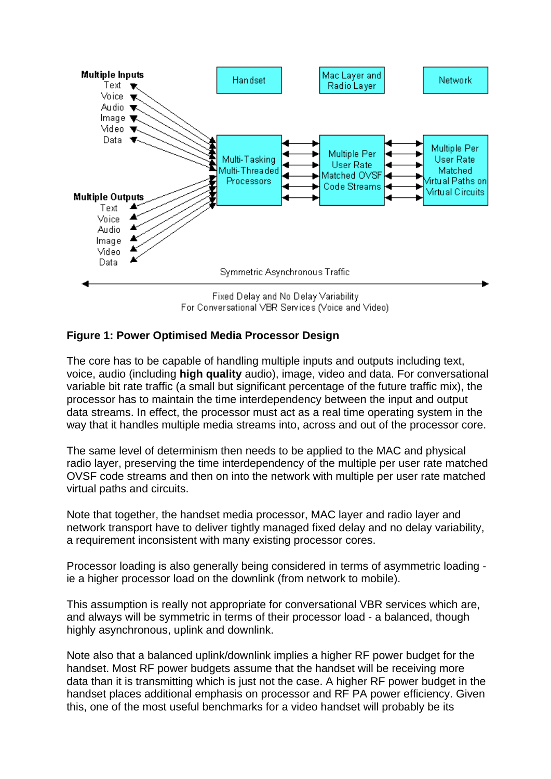

## **Figure 1: Power Optimised Media Processor Design**

The core has to be capable of handling multiple inputs and outputs including text, voice, audio (including **high quality** audio), image, video and data. For conversational variable bit rate traffic (a small but significant percentage of the future traffic mix), the processor has to maintain the time interdependency between the input and output data streams. In effect, the processor must act as a real time operating system in the way that it handles multiple media streams into, across and out of the processor core.

The same level of determinism then needs to be applied to the MAC and physical radio layer, preserving the time interdependency of the multiple per user rate matched OVSF code streams and then on into the network with multiple per user rate matched virtual paths and circuits.

Note that together, the handset media processor, MAC layer and radio layer and network transport have to deliver tightly managed fixed delay and no delay variability, a requirement inconsistent with many existing processor cores.

Processor loading is also generally being considered in terms of asymmetric loading ie a higher processor load on the downlink (from network to mobile).

This assumption is really not appropriate for conversational VBR services which are, and always will be symmetric in terms of their processor load - a balanced, though highly asynchronous, uplink and downlink.

Note also that a balanced uplink/downlink implies a higher RF power budget for the handset. Most RF power budgets assume that the handset will be receiving more data than it is transmitting which is just not the case. A higher RF power budget in the handset places additional emphasis on processor and RF PA power efficiency. Given this, one of the most useful benchmarks for a video handset will probably be its